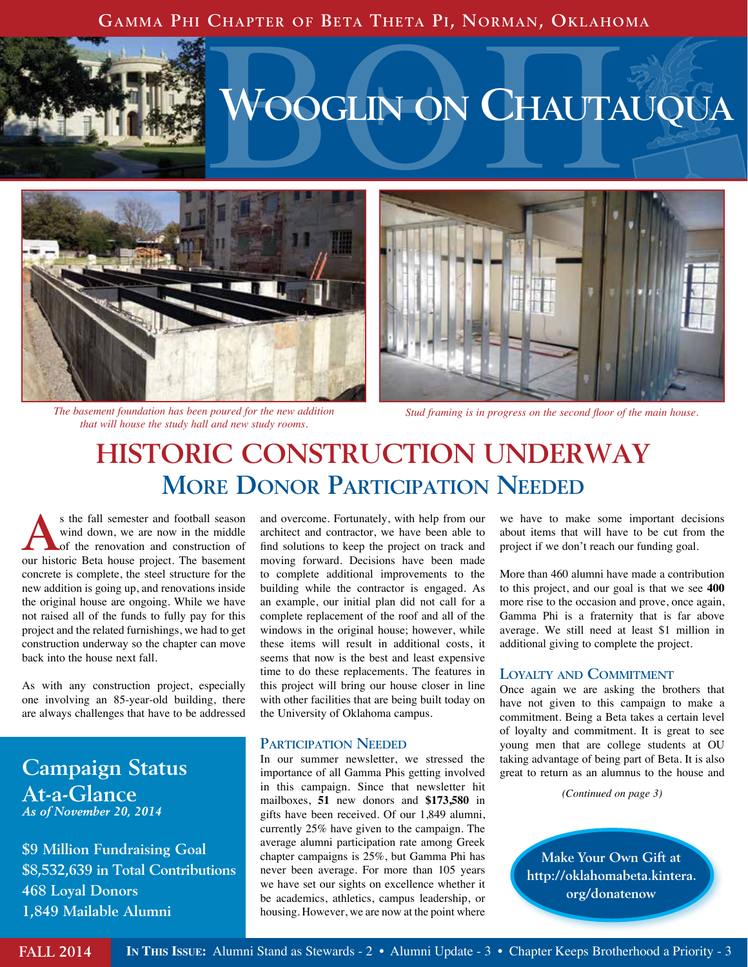#### **Gamma Phi Chapter of Beta Theta Pi, Norman, Oklahoma**



# **VOOGLIN ON CHAUTAUQUA**



*The basement foundation has been poured for the new addition that will house the study hall and new study rooms.*



*Stud framing is in progress on the second floor of the main house.*

### **HISTORIC CONSTRUCTION UNDERWAY More Donor Participation Needed**

s the fall semester and football season<br>
wind down, we are now in the middle<br>
of the renovation and construction of<br>
our bistoric Bata bayes project. The becoment wind down, we are now in the middle our historic Beta house project. The basement concrete is complete, the steel structure for the new addition is going up, and renovations inside the original house are ongoing. While we have not raised all of the funds to fully pay for this project and the related furnishings, we had to get construction underway so the chapter can move back into the house next fall.

As with any construction project, especially one involving an 85-year-old building, there are always challenges that have to be addressed

#### **Campaign Status At-a-Glance**  *As of November 20, 2014*

**\$9 Million Fundraising Goal \$8,532,639 in Total Contributions 468 Loyal Donors 1,849 Mailable Alumni**

and overcome. Fortunately, with help from our architect and contractor, we have been able to find solutions to keep the project on track and moving forward. Decisions have been made to complete additional improvements to the building while the contractor is engaged. As an example, our initial plan did not call for a complete replacement of the roof and all of the windows in the original house; however, while these items will result in additional costs, it seems that now is the best and least expensive time to do these replacements. The features in this project will bring our house closer in line with other facilities that are being built today on the University of Oklahoma campus.

#### **Participation Needed**

In our summer newsletter, we stressed the importance of all Gamma Phis getting involved in this campaign. Since that newsletter hit mailboxes, **51** new donors and **\$173,580** in gifts have been received. Of our 1,849 alumni, currently 25% have given to the campaign. The average alumni participation rate among Greek chapter campaigns is 25%, but Gamma Phi has never been average. For more than 105 years we have set our sights on excellence whether it be academics, athletics, campus leadership, or housing. However, we are now at the point where

we have to make some important decisions about items that will have to be cut from the project if we don't reach our funding goal.

More than 460 alumni have made a contribution to this project, and our goal is that we see **400**  more rise to the occasion and prove, once again, Gamma Phi is a fraternity that is far above average. We still need at least \$1 million in additional giving to complete the project.

#### **Loyalty and Commitment**

Once again we are asking the brothers that have not given to this campaign to make a commitment. Being a Beta takes a certain level of loyalty and commitment. It is great to see young men that are college students at OU taking advantage of being part of Beta. It is also great to return as an alumnus to the house and

*(Continued on page 3)*

**Make Your Own Gift at http://oklahomabeta.kintera. org/donatenow**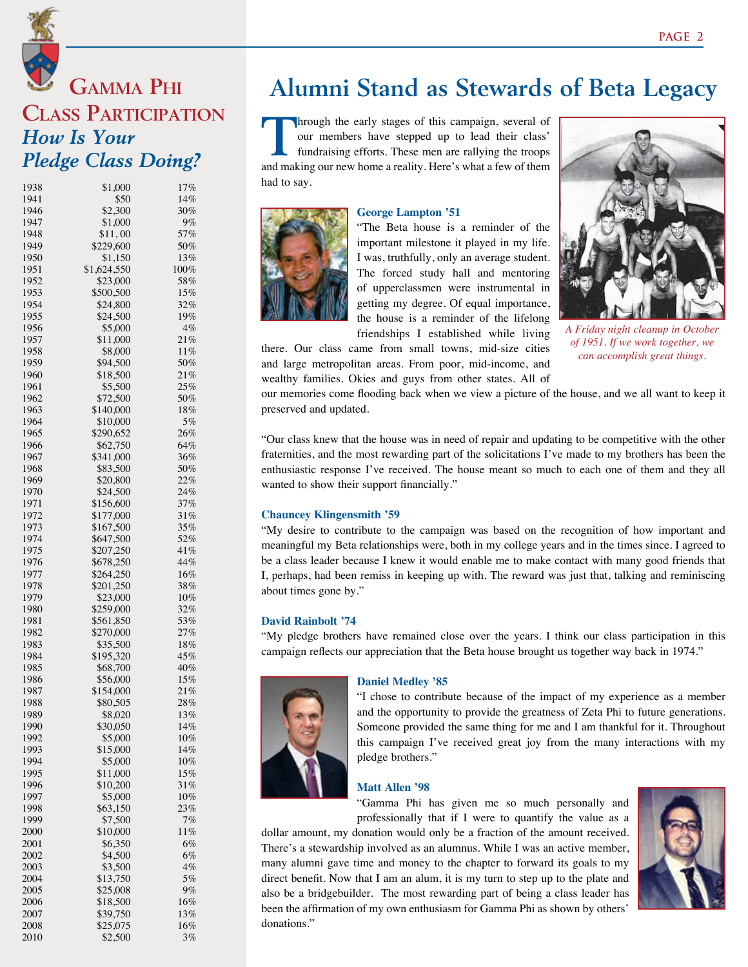### **Gamma Phi Class Participation** *How Is Your Pledge Class Doing?*

| 1938 | \$1,000     | 17%     |
|------|-------------|---------|
| 1941 | \$50        | 14%     |
| 1946 | \$2,300     | 30%     |
| 1947 | \$1,000     | 9%      |
| 1948 | \$11,00     | 57%     |
| 1949 | \$229,600   | 50%     |
| 1950 | \$1,150     | 13%     |
| 1951 | \$1,624,550 | $100\%$ |
| 1952 | \$23,000    | 58%     |
| 1953 | \$500,500   | 15%     |
| 1954 | \$24,800    | 32%     |
| 1955 | \$24,500    | 19%     |
| 1956 | \$5,000     | 4%      |
| 1957 | \$11,000    | 21%     |
| 1958 | \$8,000     | 11%     |
| 1959 | \$94,500    | 50%     |
| 1960 | \$18,500    | 21%     |
| 1961 | \$5,500     | 25%     |
| 1962 | \$72,500    | 50%     |
| 1963 | \$140,000   | $18\%$  |
| 1964 | \$10,000    | 5%      |
| 1965 | \$290,652   | 26%     |
| 1966 | \$62,750    | 64%     |
| 1967 |             | 36%     |
| 1968 | \$341,000   | 50%     |
|      | \$83,500    |         |
| 1969 | \$20,800    | 22%     |
| 1970 | \$24,500    | 24%     |
| 1971 | \$156,600   | 37%     |
| 1972 | \$177,000   | 31%     |
| 1973 | \$167,500   | 35%     |
| 1974 | \$647,500   | 52%     |
| 1975 | \$207,250   | 41%     |
| 1976 | \$678,250   | 44%     |
| 1977 | \$264,250   | 16%     |
| 1978 | \$201,250   | 38%     |
| 1979 | \$23,000    | $10\%$  |
| 1980 | \$259,000   | 32%     |
| 1981 | \$561,850   | 53%     |
| 1982 | \$270,000   | 27%     |
| 1983 | \$35,500    | 18%     |
| 1984 | \$195,320   | 45%     |
| 1985 | \$68,700    | 40%     |
| 1986 | \$56,000    | 15%     |
| 1987 | \$154,000   | 21%     |
| 1988 | \$80,505    | $28\%$  |
| 1989 | \$8,020     | 13%     |
| 1990 | \$30,050    | 14%     |
| 1992 | \$5,000     | $10\%$  |
| 1993 | \$15,000    | 14%     |
| 1994 | \$5,000     | $10\%$  |
| 1995 | \$11,000    | 15%     |
| 1996 | \$10,200    | 31%     |
| 1997 | \$5,000     | 10%     |
| 1998 | \$63,150    | 23%     |
| 1999 | \$7,500     | 7%      |
| 2000 | \$10,000    | $11\%$  |
| 2001 | \$6,350     | 6%      |
| 2002 | \$4,500     | 6%      |
| 2003 | \$3,500     | $4\%$   |
| 2004 | \$13,750    | 5%      |
| 2005 | \$25,008    | $9\%$   |
| 2006 | \$18,500    | 16%     |
| 2007 | \$39,750    | 13%     |
| 2008 | \$25,075    | 16%     |
| 2010 | \$2,500     | 3%      |
|      |             |         |

### **Alumni Stand as Stewards of Beta Legacy**

Through the early stages of this campaign, several of<br>our members have stepped up to lead their class'<br>fundraising efforts. These men are rallying the troops<br>and making sum agreement and the state of the state of them our members have stepped up to lead their class' fundraising efforts. These men are rallying the troops and making our new home a reality. Here's what a few of them had to say.



#### **George Lampton '51**

"The Beta house is a reminder of the important milestone it played in my life. I was, truthfully, only an average student. The forced study hall and mentoring of upperclassmen were instrumental in getting my degree. Of equal importance, the house is a reminder of the lifelong friendships I established while living

*A Friday night cleanup in October of 1951. If we work together, we can accomplish great things.*

there. Our class came from small towns, mid-size cities and large metropolitan areas. From poor, mid-income, and wealthy families. Okies and guys from other states. All of

our memories come flooding back when we view a picture of the house, and we all want to keep it preserved and updated.

"Our class knew that the house was in need of repair and updating to be competitive with the other fraternities, and the most rewarding part of the solicitations I've made to my brothers has been the enthusiastic response I've received. The house meant so much to each one of them and they all wanted to show their support financially."

#### **Chauncey Klingensmith '59**

"My desire to contribute to the campaign was based on the recognition of how important and meaningful my Beta relationships were, both in my college years and in the times since. I agreed to be a class leader because I knew it would enable me to make contact with many good friends that I, perhaps, had been remiss in keeping up with. The reward was just that, talking and reminiscing about times gone by."

#### **David Rainbolt '74**

"My pledge brothers have remained close over the years. I think our class participation in this campaign reflects our appreciation that the Beta house brought us together way back in 1974."



#### **Daniel Medley '85**

"I chose to contribute because of the impact of my experience as a member and the opportunity to provide the greatness of Zeta Phi to future generations. Someone provided the same thing for me and I am thankful for it. Throughout this campaign I've received great joy from the many interactions with my pledge brothers."

#### **Matt Allen '98**

"Gamma Phi has given me so much personally and professionally that if I were to quantify the value as a

dollar amount, my donation would only be a fraction of the amount received. There's a stewardship involved as an alumnus. While I was an active member, many alumni gave time and money to the chapter to forward its goals to my direct benefit. Now that I am an alum, it is my turn to step up to the plate and also be a bridgebuilder. The most rewarding part of being a class leader has been the affirmation of my own enthusiasm for Gamma Phi as shown by others' donations."

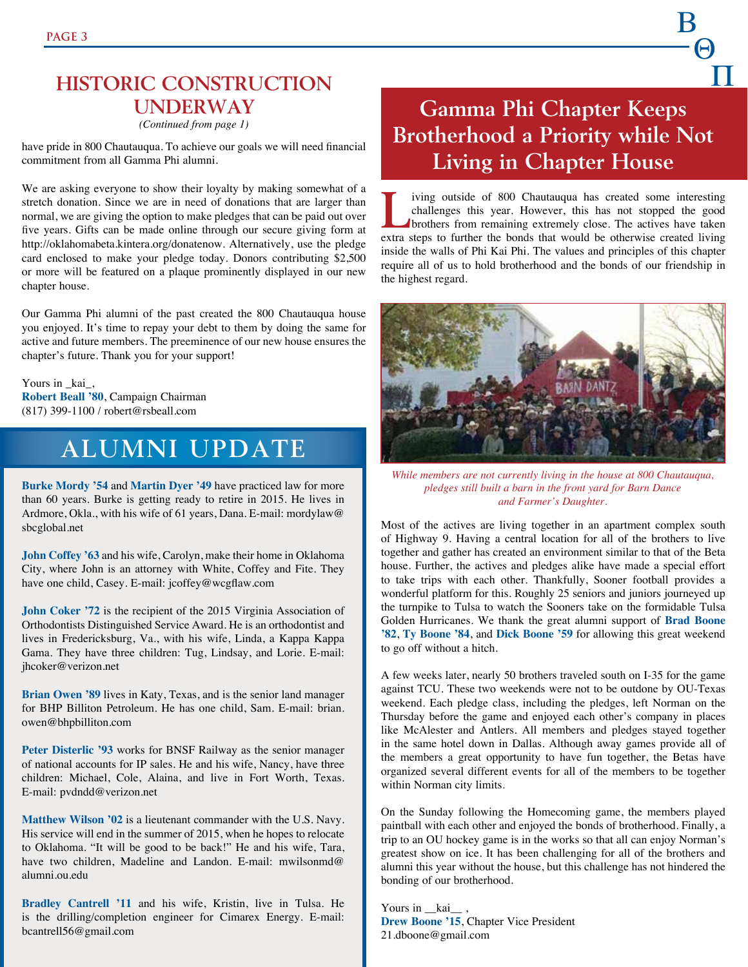### **HISTORIC CONSTRUCTION UNDERWAY**

*(Continued from page 1)*

have pride in 800 Chautauqua. To achieve our goals we will need financial commitment from all Gamma Phi alumni.

We are asking everyone to show their loyalty by making somewhat of a stretch donation. Since we are in need of donations that are larger than normal, we are giving the option to make pledges that can be paid out over five years. Gifts can be made online through our secure giving form at http://oklahomabeta.kintera.org/donatenow. Alternatively, use the pledge card enclosed to make your pledge today. Donors contributing \$2,500 or more will be featured on a plaque prominently displayed in our new chapter house.

Our Gamma Phi alumni of the past created the 800 Chautauqua house you enjoyed. It's time to repay your debt to them by doing the same for active and future members. The preeminence of our new house ensures the chapter's future. Thank you for your support!

Yours in \_kai\_, **Robert Beall '80**, Campaign Chairman (817) 399-1100 / robert@rsbeall.com

### **ALUMNI UPDATE**

**Burke Mordy '54** and **Martin Dyer '49** have practiced law for more than 60 years. Burke is getting ready to retire in 2015. He lives in Ardmore, Okla., with his wife of 61 years, Dana. E-mail: mordylaw@ sbcglobal.net

**John Coffey '63** and his wife, Carolyn, make their home in Oklahoma City, where John is an attorney with White, Coffey and Fite. They have one child, Casey. E-mail: jcoffey@wcgflaw.com

**John Coker '72** is the recipient of the 2015 Virginia Association of Orthodontists Distinguished Service Award. He is an orthodontist and lives in Fredericksburg, Va., with his wife, Linda, a Kappa Kappa Gama. They have three children: Tug, Lindsay, and Lorie. E-mail: jhcoker@verizon.net

**Brian Owen '89** lives in Katy, Texas, and is the senior land manager for BHP Billiton Petroleum. He has one child, Sam. E-mail: brian. owen@bhpbilliton.com

Peter Disterlic '93 works for BNSF Railway as the senior manager of national accounts for IP sales. He and his wife, Nancy, have three children: Michael, Cole, Alaina, and live in Fort Worth, Texas. E-mail: pvdndd@verizon.net

**Matthew Wilson '02** is a lieutenant commander with the U.S. Navy. His service will end in the summer of 2015, when he hopes to relocate to Oklahoma. "It will be good to be back!" He and his wife, Tara, have two children, Madeline and Landon. E-mail: mwilsonmd@ alumni.ou.edu

**Bradley Cantrell '11** and his wife, Kristin, live in Tulsa. He is the drilling/completion engineer for Cimarex Energy. E-mail: bcantrell56@gmail.com

### **Gamma Phi Chapter Keeps Brotherhood a Priority while Not Living in Chapter House**

B

 $-\Theta$ 

**P** 

Living outside of 800 Chautauqua has created some interesting challenges this year. However, this has not stopped the good brothers from remaining extremely close. The actives have taken challenges this year. However, this has not stopped the good extra steps to further the bonds that would be otherwise created living inside the walls of Phi Kai Phi. The values and principles of this chapter require all of us to hold brotherhood and the bonds of our friendship in the highest regard.



*While members are not currently living in the house at 800 Chautauqua, pledges still built a barn in the front yard for Barn Dance and Farmer's Daughter.*

Most of the actives are living together in an apartment complex south of Highway 9. Having a central location for all of the brothers to live together and gather has created an environment similar to that of the Beta house. Further, the actives and pledges alike have made a special effort to take trips with each other. Thankfully, Sooner football provides a wonderful platform for this. Roughly 25 seniors and juniors journeyed up the turnpike to Tulsa to watch the Sooners take on the formidable Tulsa Golden Hurricanes. We thank the great alumni support of **Brad Boone '82**, **Ty Boone '84**, and **Dick Boone '59** for allowing this great weekend to go off without a hitch.

A few weeks later, nearly 50 brothers traveled south on I-35 for the game against TCU. These two weekends were not to be outdone by OU-Texas weekend. Each pledge class, including the pledges, left Norman on the Thursday before the game and enjoyed each other's company in places like McAlester and Antlers. All members and pledges stayed together in the same hotel down in Dallas. Although away games provide all of the members a great opportunity to have fun together, the Betas have organized several different events for all of the members to be together within Norman city limits.

On the Sunday following the Homecoming game, the members played paintball with each other and enjoyed the bonds of brotherhood. Finally, a trip to an OU hockey game is in the works so that all can enjoy Norman's greatest show on ice. It has been challenging for all of the brothers and alumni this year without the house, but this challenge has not hindered the bonding of our brotherhood.

Yours in \_\_kai\_, **Drew Boone '15**, Chapter Vice President 21.dboone@gmail.com